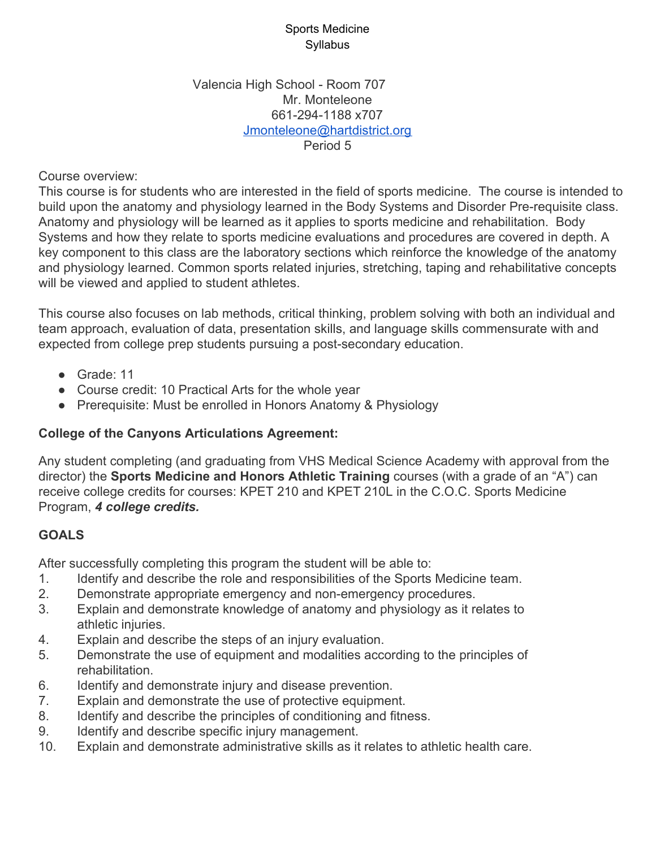#### Valencia High School - Room 707 Mr. Monteleone 661-294-1188 x707 [Jmonteleone@hartdistrict.org](mailto:Jmonteleone@hartdistrict.org) Period 5

Course overview:

This course is for students who are interested in the field of sports medicine. The course is intended to build upon the anatomy and physiology learned in the Body Systems and Disorder Pre-requisite class. Anatomy and physiology will be learned as it applies to sports medicine and rehabilitation. Body Systems and how they relate to sports medicine evaluations and procedures are covered in depth. A key component to this class are the laboratory sections which reinforce the knowledge of the anatomy and physiology learned. Common sports related injuries, stretching, taping and rehabilitative concepts will be viewed and applied to student athletes.

This course also focuses on lab methods, critical thinking, problem solving with both an individual and team approach, evaluation of data, presentation skills, and language skills commensurate with and expected from college prep students pursuing a post-secondary education.

- Grade: 11
- Course credit: 10 Practical Arts for the whole year
- Prerequisite: Must be enrolled in Honors Anatomy & Physiology

# **College of the Canyons Articulations Agreement:**

Any student completing (and graduating from VHS Medical Science Academy with approval from the director) the **Sports Medicine and Honors Athletic Training** courses (with a grade of an "A") can receive college credits for courses: KPET 210 and KPET 210L in the C.O.C. Sports Medicine Program, *4 college credits.*

# **GOALS**

After successfully completing this program the student will be able to:

- 1. Identify and describe the role and responsibilities of the Sports Medicine team.
- 2. Demonstrate appropriate emergency and non-emergency procedures.
- 3. Explain and demonstrate knowledge of anatomy and physiology as it relates to athletic injuries.
- 4. Explain and describe the steps of an injury evaluation.
- 5. Demonstrate the use of equipment and modalities according to the principles of rehabilitation.
- 6. Identify and demonstrate injury and disease prevention.
- 7. Explain and demonstrate the use of protective equipment.
- 8. Identify and describe the principles of conditioning and fitness.
- 9. Identify and describe specific injury management.
- 10. Explain and demonstrate administrative skills as it relates to athletic health care.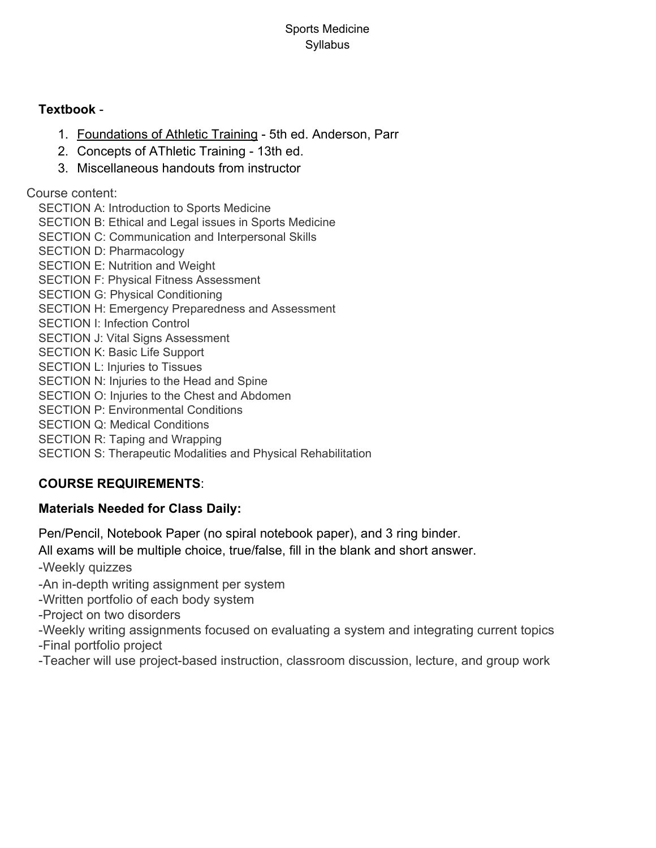### **Textbook** -

- 1. Foundations of Athletic Training 5th ed. Anderson, Parr
- 2. Concepts of AThletic Training 13th ed.
- 3. Miscellaneous handouts from instructor

Course content:

SECTION A: Introduction to Sports Medicine SECTION B: Ethical and Legal issues in Sports Medicine SECTION C: Communication and Interpersonal Skills SECTION D: Pharmacology SECTION E: Nutrition and Weight SECTION F: Physical Fitness Assessment SECTION G: Physical Conditioning SECTION H: Emergency Preparedness and Assessment SECTION I: Infection Control SECTION J: Vital Signs Assessment SECTION K: Basic Life Support SECTION L: Injuries to Tissues SECTION N: Injuries to the Head and Spine SECTION O: Injuries to the Chest and Abdomen SECTION P: Environmental Conditions SECTION Q: Medical Conditions SECTION R: Taping and Wrapping SECTION S: Therapeutic Modalities and Physical Rehabilitation

# **COURSE REQUIREMENTS**:

# **Materials Needed for Class Daily:**

Pen/Pencil, Notebook Paper (no spiral notebook paper), and 3 ring binder.

All exams will be multiple choice, true/false, fill in the blank and short answer.

-Weekly quizzes

-An in-depth writing assignment per system

-Written portfolio of each body system

-Project on two disorders

-Weekly writing assignments focused on evaluating a system and integrating current topics -Final portfolio project

-Teacher will use project-based instruction, classroom discussion, lecture, and group work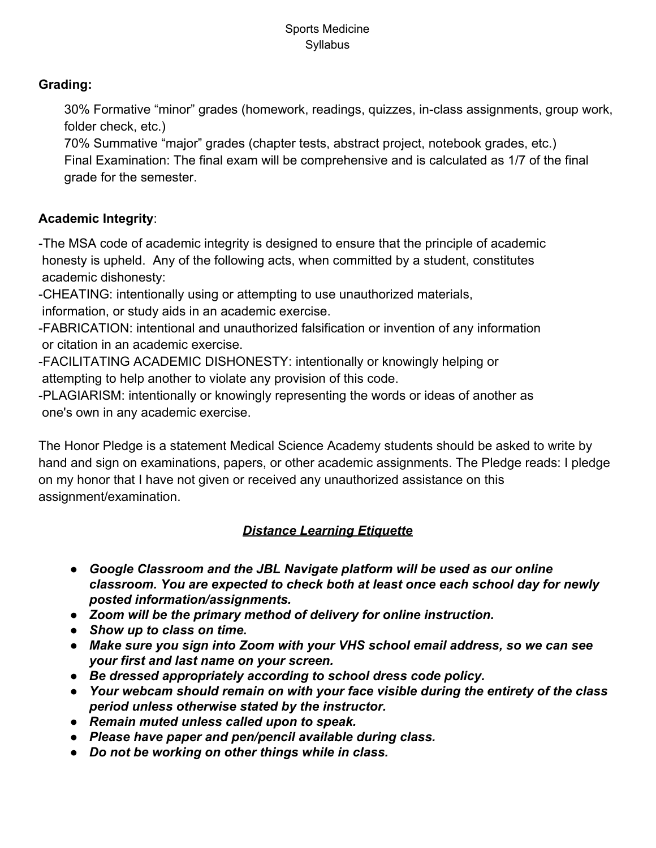# **Grading:**

30% Formative "minor" grades (homework, readings, quizzes, in-class assignments, group work, folder check, etc.)

70% Summative "major" grades (chapter tests, abstract project, notebook grades, etc.) Final Examination: The final exam will be comprehensive and is calculated as 1/7 of the final grade for the semester.

# **Academic Integrity**:

-The MSA code of academic integrity is designed to ensure that the principle of academic honesty is upheld. Any of the following acts, when committed by a student, constitutes academic dishonesty:

-CHEATING: intentionally using or attempting to use unauthorized materials, information, or study aids in an academic exercise.

-FABRICATION: intentional and unauthorized falsification or invention of any information or citation in an academic exercise.

-FACILITATING ACADEMIC DISHONESTY: intentionally or knowingly helping or attempting to help another to violate any provision of this code.

-PLAGIARISM: intentionally or knowingly representing the words or ideas of another as one's own in any academic exercise.

The Honor Pledge is a statement Medical Science Academy students should be asked to write by hand and sign on examinations, papers, or other academic assignments. The Pledge reads: I pledge on my honor that I have not given or received any unauthorized assistance on this assignment/examination.

# *Distance Learning Etiquette*

- *● Google Classroom and the JBL Navigate platform will be used as our online classroom. You are expected to check both at least once each school day for newly posted information/assignments.*
- *● Zoom will be the primary method of delivery for online instruction.*
- *● Show up to class on time.*
- *● Make sure you sign into Zoom with your VHS school email address, so we can see your first and last name on your screen.*
- *● Be dressed appropriately according to school dress code policy.*
- *● Your webcam should remain on with your face visible during the entirety of the class period unless otherwise stated by the instructor.*
- *● Remain muted unless called upon to speak.*
- *● Please have paper and pen/pencil available during class.*
- *● Do not be working on other things while in class.*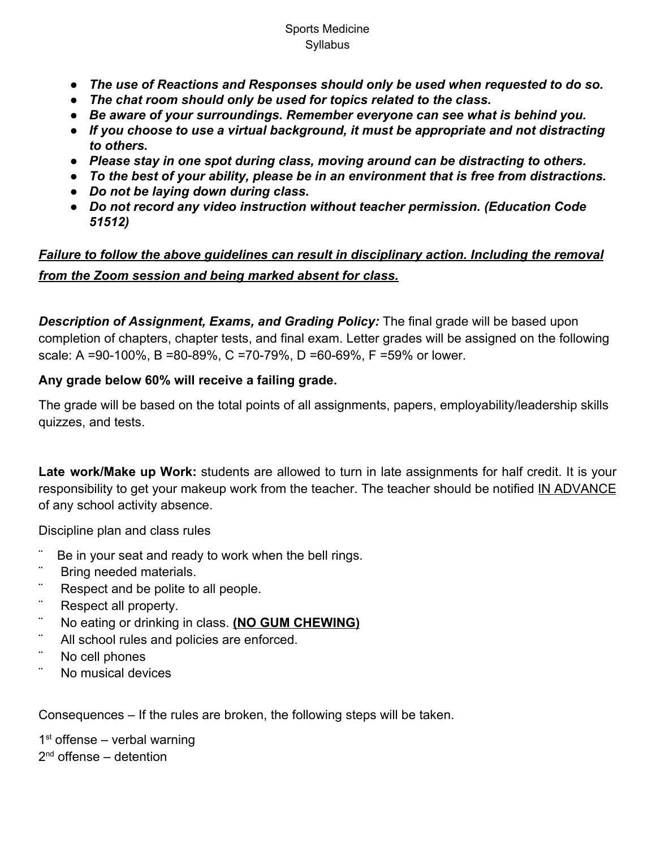- *● The use of Reactions and Responses should only be used when requested to do so.*
- *● The chat room should only be used for topics related to the class.*
- *● Be aware of your surroundings. Remember everyone can see what is behind you.*
- *● If you choose to use a virtual background, it must be appropriate and not distracting to others.*
- *● Please stay in one spot during class, moving around can be distracting to others.*
- *● To the best of your ability, please be in an environment that is free from distractions.*
- *● Do not be laying down during class.*
- *● Do not record any video instruction without teacher permission. (Education Code 51512)*

# *Failure to follow the above guidelines can result in disciplinary action. Including the removal from the Zoom session and being marked absent for class.*

*Description of Assignment, Exams, and Grading Policy:* The final grade will be based upon completion of chapters, chapter tests, and final exam. Letter grades will be assigned on the following scale: A =90-100%, B =80-89%, C =70-79%, D =60-69%, F =59% or lower.

### **Any grade below 60% will receive a failing grade.**

The grade will be based on the total points of all assignments, papers, employability/leadership skills quizzes, and tests.

**Late work/Make up Work:** students are allowed to turn in late assignments for half credit. It is your responsibility to get your makeup work from the teacher. The teacher should be notified IN ADVANCE of any school activity absence.

Discipline plan and class rules

- Be in your seat and ready to work when the bell rings.
- ¨ Bring needed materials.
- ¨ Respect and be polite to all people.
- ¨ Respect all property.
- ¨ No eating or drinking in class. **(NO GUM CHEWING)**
- ¨ All school rules and policies are enforced.
- ¨ No cell phones
- ¨ No musical devices

Consequences – If the rules are broken, the following steps will be taken.

1<sup>st</sup> offense – verbal warning 2<sup>nd</sup> offense – detention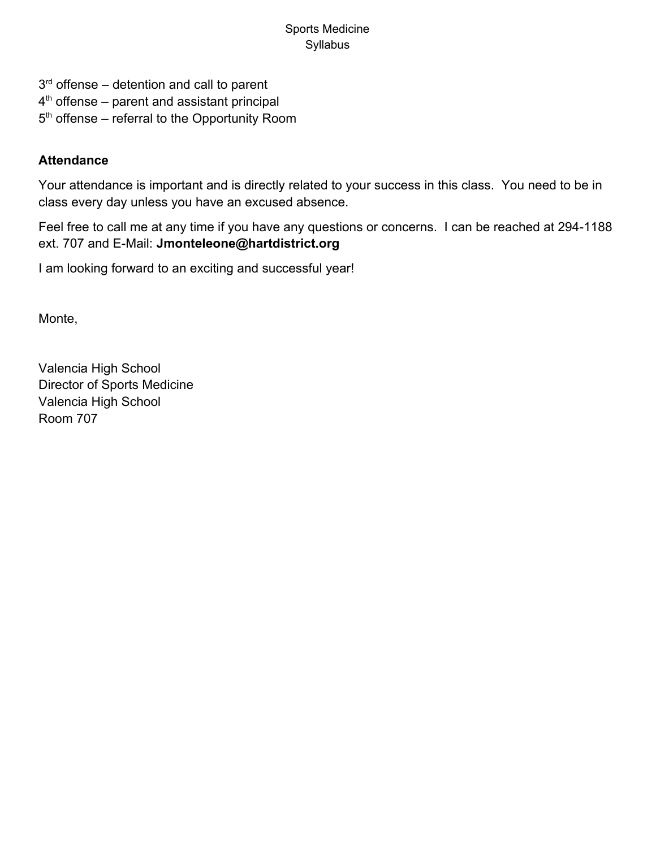3<sup>rd</sup> offense – detention and call to parent 4<sup>th</sup> offense – parent and assistant principal 5<sup>th</sup> offense – referral to the Opportunity Room

## **Attendance**

Your attendance is important and is directly related to your success in this class. You need to be in class every day unless you have an excused absence.

Feel free to call me at any time if you have any questions or concerns. I can be reached at 294-1188 ext. 707 and E-Mail: **Jmonteleone@hartdistrict.org**

I am looking forward to an exciting and successful year!

Monte,

Valencia High School Director of Sports Medicine Valencia High School Room 707